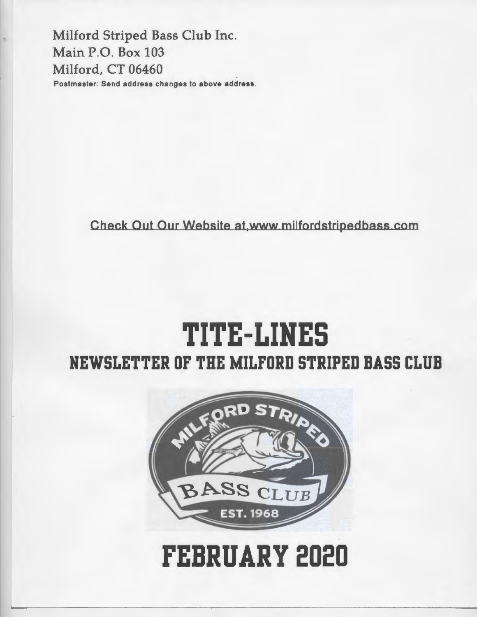Milford Striped Bass Club Inc. Main P.O. Box 103 Milford, CT 06460 Postmaster: Send address changes to above address.

### Check Out Our Website at, www.milfordstripedbass.com

### **TITE-LIHES NEWSLETTER OF THE MILFORD STRIPED BASS CLUB**



## **FEBRUARY 2020**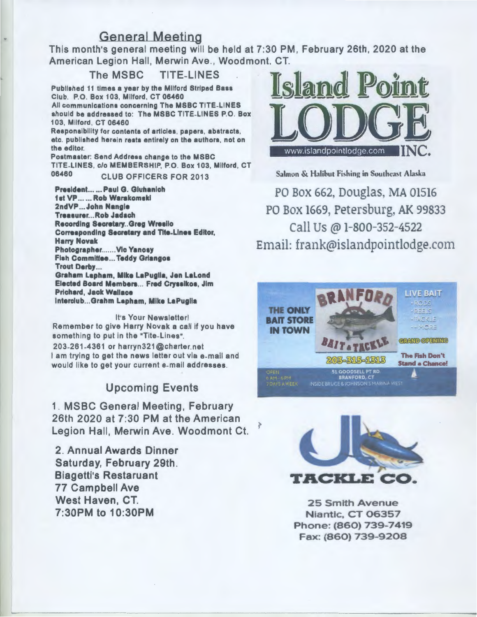### General Meeting

This month's general meeting will be held at 7:30PM, February 26th, 2020 at the

~

The MSBC TITE-LINES<br>Published 11 times a year by the Milford Striped Bass Club. P.O. Box 103, Milford, CT 06460<br>All communications concerning The MSBC TITE-LINES All communications concerning The MSBC TITE-LINES<br>should be addressed to: The MSBC TITE-LINES P.O. B ~~!·P~~~~~~i·t~~~::~~nts of articles, papers, abstracts, aa ~J I T al *!,* etc. published herein rests entirely on the authors. not on ~ ~ ~ Postmaster: Send Address change to the MSBC • TITE-LINES. c/o MEMBERSHIP, P.O. Box 103, Milford, CT 06460 CLUB OFFICERS FOR 2013 Salmon & Halibut Fishing in Southeast Alaska

President... ... Paul G. Gluhanich 1st VP ... ... Rob Warakomski 2ndVP ... John Nangle Treasurer...Rob Jadach Recording Secretary..Greg Wresilo Corresponding Secretary and Tite-Lines Editor, Harry Novak Photographer.......Vic Yanosy Fish Committee... Teddy Griangos **Trout Derby...** Graham Lapham, Mike LaPuglla, Jen LaLond Elected Board Members... Fred Cryssikos, Jim Prichard, Jack Wallace lnterclub ... Grahm Lapham, Mike LaPuglla

It's Your Newsletter! Remember to give Harry Novak a call if you have something to put in the "Tite-Lines".

203-261-4361 or harryn321 @charter. net I am trying to get the news letter out via e-mail and would like to get your current e-mail addresses.

#### Upcoming Events

1. MSBC General Meeting, February 26th 2020 at 7:30 PM at the American Legion Hall, Merwin Ave. Woodmont Ct.

2. Annual Awards Dinner Saturday, February 29th. Biagetti's Restaruant 77 Campbell Ave West Haven, CT. 7:30PM to 10:30PM



PO Box 662, Douglas, MA 01516 PO Box 1669, Petersburg, AK 99833 call Us@ 1-800-352-4522 Email: frank@islandpointlodge.com





25 Smith Avenue Niantic, CT 06357 Phone: (860) 739-7419 Fax: (860) 739-9208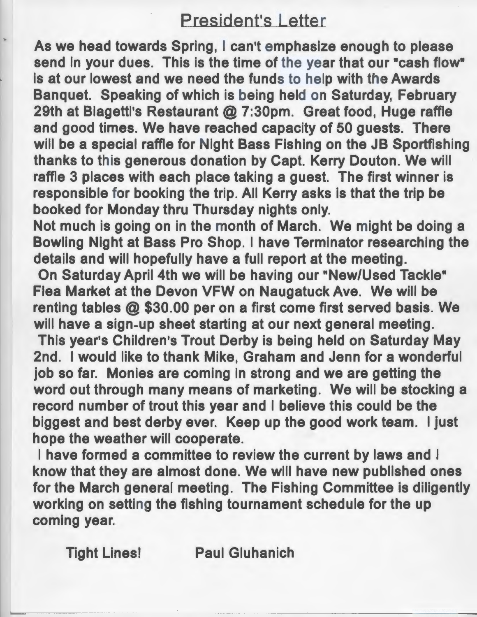### President's Letter

As we head towards Spring, I can't emphasize enough to please send in your dues. This is the time of the year that our "cash flow" is at our lowest and we need the funds to help with the Awards Banquet. Speaking of which is being held on Saturday, February 29th at Biagetti's Restaurant @ 7:30pm. Great food, Huge raffle and good times. We have reached capacity of 50 guests. There will be a special raffle for Night Bass Fishing on the JB Sportfishing thanks to this generous donation by Capt. Kerry Douton. We will raffle 3 places with each place taking a guest. The first winner is responsible for booking the trip. All Kerry asks is that the trip be booked for Monday thru Thursday nights only.

Not much is going on in the month of March. We might be doing a Bowling Night at Bass Pro Shop. I have Terminator researching the details and will hopefully have a full report at the meeting.

On Saturday April 4th we will be having our "New/Used Tackle" Flea Market at the Devon VFW on Naugatuck Ave. We will be renting tables @ \$30.00 per on a first come first served basis. We will have a sign-up sheet starting at our next general meeting.

This year's Children's Trout Derby is being held on Saturday May 2nd. I would like to thank Mike. Graham and Jenn for a wonderful job so far. Monies are coming in strong and we are getting the word out through many means of marketing. We will be stocking a record number of trout this year and I believe this could be the biggest and best derby ever. Keep up the good work team. I just hope the weather will cooperate.

I have formed a committee to review the current by laws and I know that they are almost done. We will have new published ones for the March general meeting. The Fishing Committee is diligently working on setting the fishing tournament schedule for the up coming year.

Tight Linesl Paul Gluhanich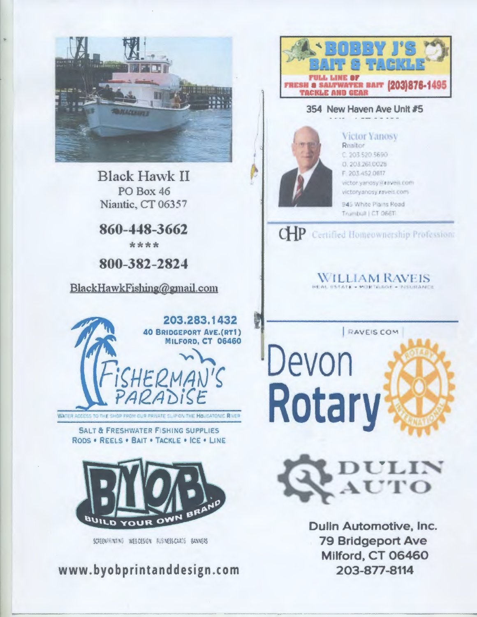

**Black Hawk II PO Box 46** Niantic, CT 06357

860-448-3662 \*\*\*\*

800-382-2824

BlackHawkFishing@gmail.com



IP ON THE HOLIDATORIC RIVER WATER ACCESS TO THE SHOP FROM OUR PRIVATE SE

**SALT & FRESHWATER FISHING SUPPLIES** RODS . REELS . BAIT . TACKLE . ICE . LINE



SCREWMNING WEBCESTON BUSINESSICARIS BANKERS

www.byobprintanddesign.com



#### 354 New Haven Ave Unit #5

**Victor Yanosy** Realtor C. 203 520 5690 0.203.261.0028 F 203 452 0617 victor yanosy inaveil.com victoryanesy.raveis.com 945 White Plains Road Trumbull | CT 06611

CHP Certified Homeownership Profession:







**Dulin Automotive, Inc. 79 Bridgeport Ave** Milford, CT 06460 203-877-8114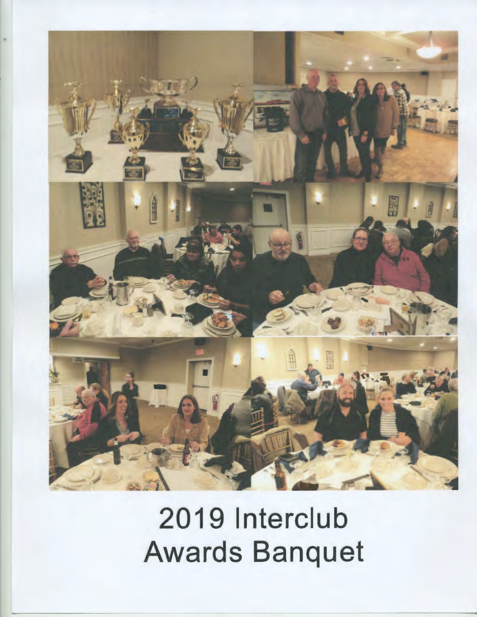

# 2019 Interclub **Awards Banquet**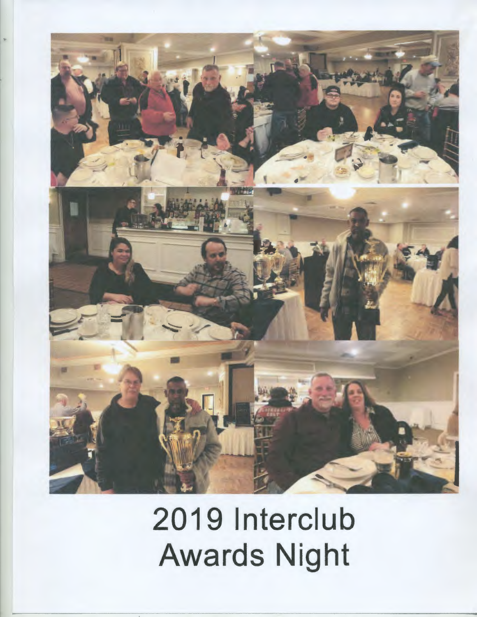

# 2019 Interclub **Awards Night**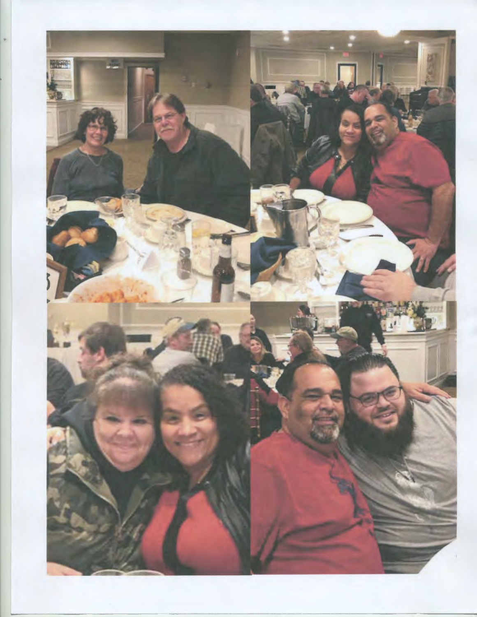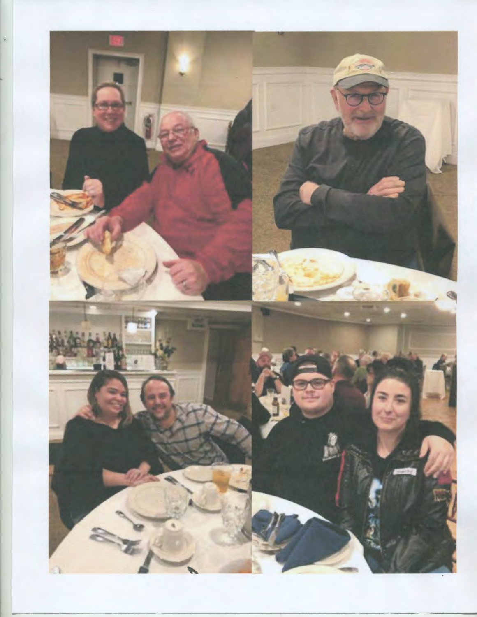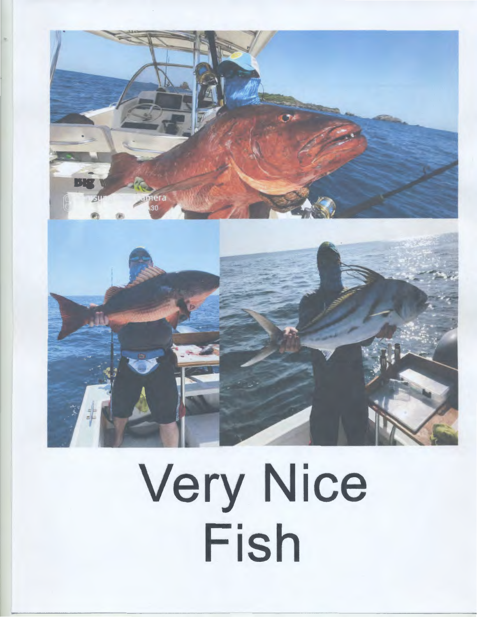



# Very Nice Fish